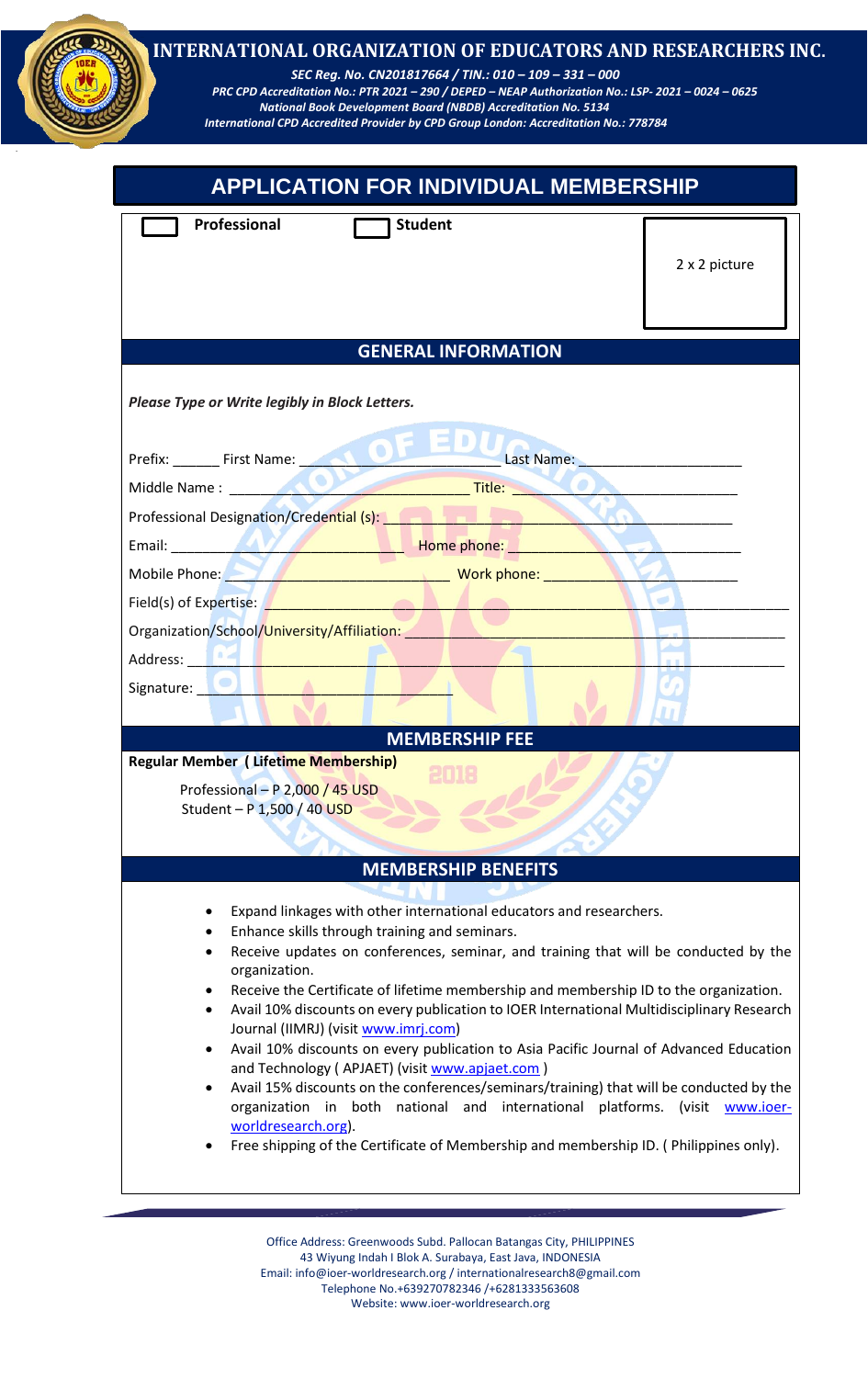| <b>APPLICATION FOR INDIVIDUAL MEMBERSHIP</b>                                |                            |  |               |
|-----------------------------------------------------------------------------|----------------------------|--|---------------|
| Professional                                                                | <b>Student</b>             |  |               |
|                                                                             |                            |  | 2 x 2 picture |
|                                                                             |                            |  |               |
|                                                                             |                            |  |               |
|                                                                             | <b>GENERAL INFORMATION</b> |  |               |
| Please Type or Write legibly in Block Letters.                              |                            |  |               |
|                                                                             |                            |  |               |
| Prefix: First Name: First Name: East Name:                                  |                            |  |               |
|                                                                             |                            |  |               |
| Professional Designation/Credential (s): <b>1999 The Contract of Action</b> |                            |  |               |
| Email: Nome phone:                                                          |                            |  |               |
| Mobile Phone: New York phone:                                               |                            |  |               |
| Field(s) of Expertise: <b>All and September 2014</b>                        |                            |  |               |
| Organization/School/University/Affiliation:                                 |                            |  |               |
| Address:                                                                    |                            |  |               |
| Signature:                                                                  |                            |  |               |
|                                                                             |                            |  |               |
|                                                                             | <b>MEMBERSHIP FEE</b>      |  |               |
| <b>Regular Member (Lifetime Membership)</b>                                 |                            |  |               |
| Professional - P 2,000 / 45 USD                                             |                            |  |               |
| Student - P 1,500 / 40 USD                                                  |                            |  |               |
|                                                                             |                            |  |               |
|                                                                             |                            |  |               |

- Avail 10% discounts on every publication to IOER International Journal (IIMRJ) (visit [www.imrj.com\)](http://www.imrj.com/)
	- Avail 10% discounts on every publication to Asia Pacific Journal of Advanced Education and Technology ( APJAET) (visit [www.apjaet.com](http://www.apjaet.com/) )
	- Avail 15% discounts on the conferences/seminars/training) that will be conducted by the organization in both national and international platforms. (visit [www.ioer](http://www.ioer-worldresearch.org/)[worldresearch.org\)](http://www.ioer-worldresearch.org/).
	- Free shipping of the Certificate of Membership and membership ID. ( Philippines only).

Office Address: Greenwoods Subd. Pallocan Batangas City, PHILIPPINES 43 Wiyung Indah I Blok A. Surabaya, East Java, INDONESIA Email[: info@ioer-worldresearch.org /](mailto:info@ioer-worldresearch.org%20/) [internationalresearch8@gmail.com](mailto:internationalresearch8@gmail.com/) Telephone No.+639270782346 /+6281333563608 Website: www.ioer-worldresearch.org